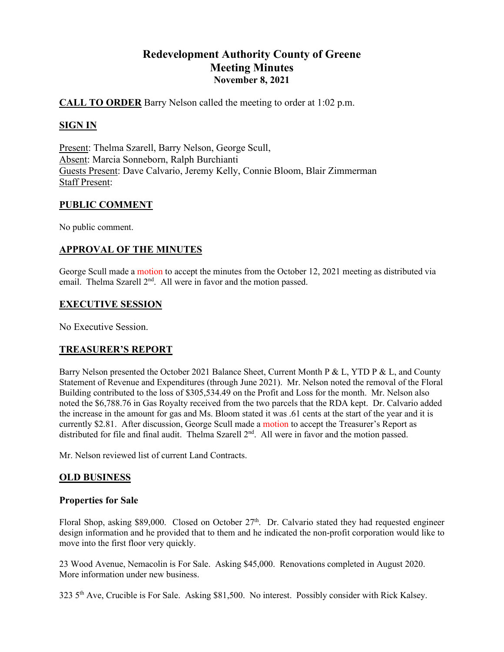# **Redevelopment Authority County of Greene Meeting Minutes November 8, 2021**

# **CALL TO ORDER** Barry Nelson called the meeting to order at 1:02 p.m.

# **SIGN IN**

Present: Thelma Szarell, Barry Nelson, George Scull, Absent: Marcia Sonneborn, Ralph Burchianti Guests Present: Dave Calvario, Jeremy Kelly, Connie Bloom, Blair Zimmerman Staff Present:

# **PUBLIC COMMENT**

No public comment.

# **APPROVAL OF THE MINUTES**

George Scull made a motion to accept the minutes from the October 12, 2021 meeting as distributed via email. Thelma Szarell 2<sup>nd</sup>. All were in favor and the motion passed.

#### **EXECUTIVE SESSION**

No Executive Session.

# **TREASURER'S REPORT**

Barry Nelson presented the October 2021 Balance Sheet, Current Month P & L, YTD P & L, and County Statement of Revenue and Expenditures (through June 2021). Mr. Nelson noted the removal of the Floral Building contributed to the loss of \$305,534.49 on the Profit and Loss for the month. Mr. Nelson also noted the \$6,788.76 in Gas Royalty received from the two parcels that the RDA kept. Dr. Calvario added the increase in the amount for gas and Ms. Bloom stated it was .61 cents at the start of the year and it is currently \$2.81. After discussion, George Scull made a motion to accept the Treasurer's Report as distributed for file and final audit. Thelma Szarell 2<sup>nd</sup>. All were in favor and the motion passed.

Mr. Nelson reviewed list of current Land Contracts.

# **OLD BUSINESS**

#### **Properties for Sale**

Floral Shop, asking \$89,000. Closed on October  $27<sup>th</sup>$ . Dr. Calvario stated they had requested engineer design information and he provided that to them and he indicated the non-profit corporation would like to move into the first floor very quickly.

23 Wood Avenue, Nemacolin is For Sale. Asking \$45,000. Renovations completed in August 2020. More information under new business.

323 5th Ave, Crucible is For Sale. Asking \$81,500. No interest. Possibly consider with Rick Kalsey.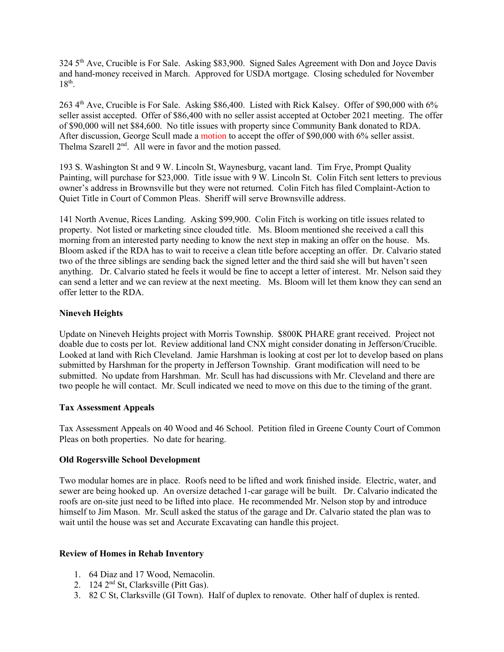324 5th Ave, Crucible is For Sale. Asking \$83,900. Signed Sales Agreement with Don and Joyce Davis and hand-money received in March. Approved for USDA mortgage. Closing scheduled for November  $18^{th}$ .

263 4th Ave, Crucible is For Sale. Asking \$86,400. Listed with Rick Kalsey. Offer of \$90,000 with 6% seller assist accepted. Offer of \$86,400 with no seller assist accepted at October 2021 meeting. The offer of \$90,000 will net \$84,600. No title issues with property since Community Bank donated to RDA. After discussion, George Scull made a motion to accept the offer of \$90,000 with 6% seller assist. Thelma Szarell 2<sup>nd</sup>. All were in favor and the motion passed.

193 S. Washington St and 9 W. Lincoln St, Waynesburg, vacant land. Tim Frye, Prompt Quality Painting, will purchase for \$23,000. Title issue with 9 W. Lincoln St. Colin Fitch sent letters to previous owner's address in Brownsville but they were not returned. Colin Fitch has filed Complaint-Action to Quiet Title in Court of Common Pleas. Sheriff will serve Brownsville address.

141 North Avenue, Rices Landing. Asking \$99,900. Colin Fitch is working on title issues related to property. Not listed or marketing since clouded title. Ms. Bloom mentioned she received a call this morning from an interested party needing to know the next step in making an offer on the house. Ms. Bloom asked if the RDA has to wait to receive a clean title before accepting an offer. Dr. Calvario stated two of the three siblings are sending back the signed letter and the third said she will but haven't seen anything. Dr. Calvario stated he feels it would be fine to accept a letter of interest. Mr. Nelson said they can send a letter and we can review at the next meeting. Ms. Bloom will let them know they can send an offer letter to the RDA.

#### **Nineveh Heights**

Update on Nineveh Heights project with Morris Township. \$800K PHARE grant received. Project not doable due to costs per lot. Review additional land CNX might consider donating in Jefferson/Crucible. Looked at land with Rich Cleveland. Jamie Harshman is looking at cost per lot to develop based on plans submitted by Harshman for the property in Jefferson Township. Grant modification will need to be submitted. No update from Harshman. Mr. Scull has had discussions with Mr. Cleveland and there are two people he will contact. Mr. Scull indicated we need to move on this due to the timing of the grant.

#### **Tax Assessment Appeals**

Tax Assessment Appeals on 40 Wood and 46 School. Petition filed in Greene County Court of Common Pleas on both properties. No date for hearing.

#### **Old Rogersville School Development**

Two modular homes are in place. Roofs need to be lifted and work finished inside. Electric, water, and sewer are being hooked up. An oversize detached 1-car garage will be built. Dr. Calvario indicated the roofs are on-site just need to be lifted into place. He recommended Mr. Nelson stop by and introduce himself to Jim Mason. Mr. Scull asked the status of the garage and Dr. Calvario stated the plan was to wait until the house was set and Accurate Excavating can handle this project.

#### **Review of Homes in Rehab Inventory**

- 1. 64 Diaz and 17 Wood, Nemacolin.
- 2. 124 2nd St, Clarksville (Pitt Gas).
- 3. 82 C St, Clarksville (GI Town). Half of duplex to renovate. Other half of duplex is rented.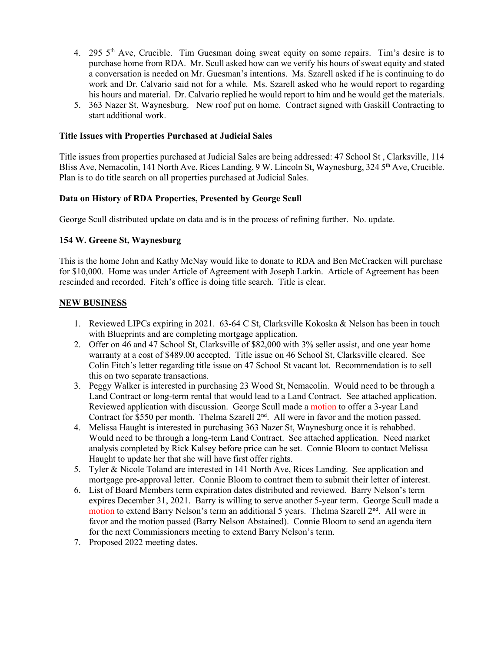- 4. 295 5th Ave, Crucible. Tim Guesman doing sweat equity on some repairs. Tim's desire is to purchase home from RDA. Mr. Scull asked how can we verify his hours of sweat equity and stated a conversation is needed on Mr. Guesman's intentions. Ms. Szarell asked if he is continuing to do work and Dr. Calvario said not for a while. Ms. Szarell asked who he would report to regarding his hours and material. Dr. Calvario replied he would report to him and he would get the materials.
- 5. 363 Nazer St, Waynesburg. New roof put on home. Contract signed with Gaskill Contracting to start additional work.

#### **Title Issues with Properties Purchased at Judicial Sales**

Title issues from properties purchased at Judicial Sales are being addressed: 47 School St , Clarksville, 114 Bliss Ave, Nemacolin, 141 North Ave, Rices Landing, 9 W. Lincoln St, Waynesburg, 324 5<sup>th</sup> Ave, Crucible. Plan is to do title search on all properties purchased at Judicial Sales.

#### **Data on History of RDA Properties, Presented by George Scull**

George Scull distributed update on data and is in the process of refining further. No. update.

#### **154 W. Greene St, Waynesburg**

This is the home John and Kathy McNay would like to donate to RDA and Ben McCracken will purchase for \$10,000. Home was under Article of Agreement with Joseph Larkin. Article of Agreement has been rescinded and recorded. Fitch's office is doing title search. Title is clear.

#### **NEW BUSINESS**

- 1. Reviewed LIPCs expiring in 2021. 63-64 C St, Clarksville Kokoska & Nelson has been in touch with Blueprints and are completing mortgage application.
- 2. Offer on 46 and 47 School St, Clarksville of \$82,000 with 3% seller assist, and one year home warranty at a cost of \$489.00 accepted. Title issue on 46 School St, Clarksville cleared. See Colin Fitch's letter regarding title issue on 47 School St vacant lot. Recommendation is to sell this on two separate transactions.
- 3. Peggy Walker is interested in purchasing 23 Wood St, Nemacolin. Would need to be through a Land Contract or long-term rental that would lead to a Land Contract. See attached application. Reviewed application with discussion. George Scull made a motion to offer a 3-year Land Contract for \$550 per month. Thelma Szarell 2<sup>nd</sup>. All were in favor and the motion passed.
- 4. Melissa Haught is interested in purchasing 363 Nazer St, Waynesburg once it is rehabbed. Would need to be through a long-term Land Contract. See attached application. Need market analysis completed by Rick Kalsey before price can be set. Connie Bloom to contact Melissa Haught to update her that she will have first offer rights.
- 5. Tyler & Nicole Toland are interested in 141 North Ave, Rices Landing. See application and mortgage pre-approval letter. Connie Bloom to contract them to submit their letter of interest.
- 6. List of Board Members term expiration dates distributed and reviewed. Barry Nelson's term expires December 31, 2021. Barry is willing to serve another 5-year term. George Scull made a motion to extend Barry Nelson's term an additional 5 years. Thelma Szarell  $2<sup>nd</sup>$ . All were in favor and the motion passed (Barry Nelson Abstained). Connie Bloom to send an agenda item for the next Commissioners meeting to extend Barry Nelson's term.
- 7. Proposed 2022 meeting dates.